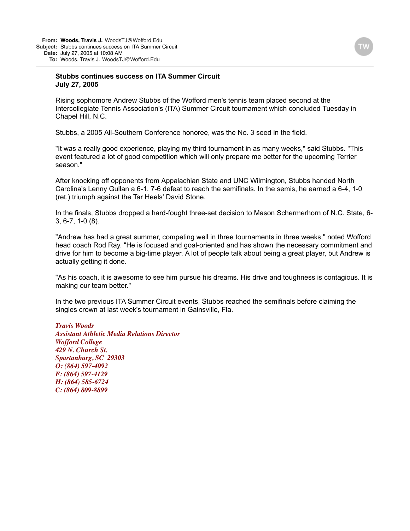## **Stubbs continues success on ITA Summer Circuit July 27, 2005**

Rising sophomore Andrew Stubbs of the Wofford men's tennis team placed second at the Intercollegiate Tennis Association's (ITA) Summer Circuit tournament which concluded Tuesday in Chapel Hill, N.C.

Stubbs, a 2005 All-Southern Conference honoree, was the No. 3 seed in the field.

"It was a really good experience, playing my third tournament in as many weeks," said Stubbs. "This event featured a lot of good competition which will only prepare me better for the upcoming Terrier season."

After knocking off opponents from Appalachian State and UNC Wilmington, Stubbs handed North Carolina's Lenny Gullan a 6-1, 7-6 defeat to reach the semifinals. In the semis, he earned a 6-4, 1-0 (ret.) triumph against the Tar Heels' David Stone.

In the finals, Stubbs dropped a hard-fought three-set decision to Mason Schermerhorn of N.C. State, 6- 3, 6-7, 1-0 (8).

"Andrew has had a great summer, competing well in three tournaments in three weeks," noted Wofford head coach Rod Ray. "He is focused and goal-oriented and has shown the necessary commitment and drive for him to become a big-time player. A lot of people talk about being a great player, but Andrew is actually getting it done.

"As his coach, it is awesome to see him pursue his dreams. His drive and toughness is contagious. It is making our team better."

In the two previous ITA Summer Circuit events, Stubbs reached the semifinals before claiming the singles crown at last week's tournament in Gainsville, Fla.

*Travis Woods Assistant Athletic Media Relations Director Wofford College 429 N. Church St. Spartanburg, SC 29303 O: (864) 597-4092 F: (864) 597-4129 H: (864) 585-6724 C: (864) 809-8899*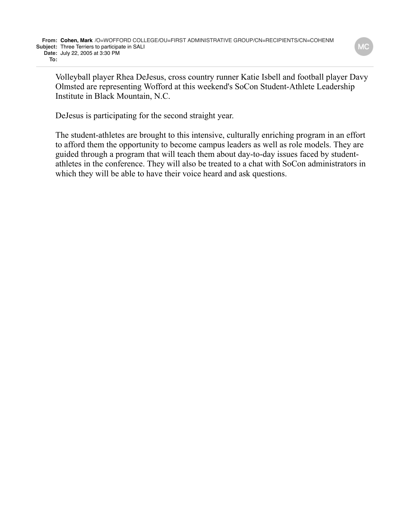Volleyball player Rhea DeJesus, cross country runner Katie Isbell and football player Davy Olmsted are representing Wofford at this weekend's SoCon Student-Athlete Leadership Institute in Black Mountain, N.C.

DeJesus is participating for the second straight year.

The student-athletes are brought to this intensive, culturally enriching program in an effort to afford them the opportunity to become campus leaders as well as role models. They are guided through a program that will teach them about day-to-day issues faced by studentathletes in the conference. They will also be treated to a chat with SoCon administrators in which they will be able to have their voice heard and ask questions.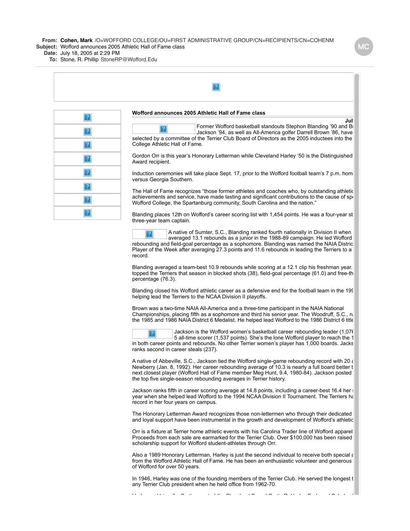**From: Cohen, Mark** /O=WOFFORD COLLEGE/OU=FIRST ADMINISTRATIVE GROUP/CN=RECIPIENTS/CN=COHENM **Subject:** Wofford announces 2005 Athletic Hall of Fame class

**Date:** July 18, 2005 at 2:29 PM

**To:** Stone, R. Phillip StoneRP@Wofford.Edu

| $\overline{?}$           | Wofford announces 2005 Athletic Hall of Fame class                                                                                                                                                                                                                          |
|--------------------------|-----------------------------------------------------------------------------------------------------------------------------------------------------------------------------------------------------------------------------------------------------------------------------|
| $\sqrt{2}$               | Jul<br>Former Wofford basketball standouts Stephon Blanding '90 and B<br>$\overline{2}$<br>Jackson '94, as well as All-America golfer Darrell Brown '86, have                                                                                                               |
|                          | selected by a committee of the Terrier Club Board of Directors as the 2005 inductees into the<br>College Athletic Hall of Fame.                                                                                                                                             |
| $\mathbf{R}$             | Gordon Orr is this year's Honorary Letterman while Cleveland Harley '50 is the Distinguished<br>Award recipient.                                                                                                                                                            |
| $\mathbf{R}$             | Induction ceremonies will take place Sept. 17, prior to the Wofford football team's 7 p.m. hom<br>versus Georgia Southern.                                                                                                                                                  |
| $\lceil$ ?<br>$\lceil$ ? | The Hall of Fame recognizes "those former athletes and coaches who, by outstanding athletic<br>achievements and service, have made lasting and significant contributions to the cause of spi<br>Wofford College, the Spartanburg community, South Carolina and the nation." |
| $\vert$ ?                | Blanding places 12th on Wofford's career scoring list with 1,454 points. He was a four-year st<br>three-year team captain.                                                                                                                                                  |
|                          | A native of Sumter, S.C., Blanding ranked fourth nationally in Division II when<br>averaged 13.1 rebounds as a junior in the 1988-89 campaign. He led Wofford                                                                                                               |

aged 13.1 rebounds as a junior in the 1988-89 campaign. He l rebounding and field-goal percentage as a sophomore. Blanding was named the NAIA Distric Player of the Week after averaging 27.3 points and 11.6 rebounds in leading the Terriers to a record.

Blanding averaged a team-best 10.9 rebounds while scoring at a 12.1 clip his freshman year. topped the Terriers that season in blocked shots (38), field-goal percentage (61.0) and free-th percentage (76.3).

Blanding closed his Wofford athletic career as a defensive end for the football team in the 199 helping lead the Terriers to the NCAA Division II playoffs.

Brown was a two-time NAIA All-America and a three-time participant in the NAIA National Championships, placing fifth as a sophomore and third his senior year. The Woodruff, S.C., native was the 1985 and 1986 NAIA District 6 Medalist. He helped lead Wofford to the 1986 District 6 title.



Jackson is the Wofford women's basketball career rebounding leader (1,076) 5 all-time scorer (1,537 points). She's the lone Wofford player to reach the 1 in both career points and rebounds. No other Terrier women's player has 1,000 boards. Jacks ranks second in career steals (237).

A native of Abbeville, S.C., Jackson tied the Wofford single-game rebounding record with 20  $\epsilon$ Newberry (Jan. 8, 1992). Her career rebounding average of 10.3 is nearly a full board better t next closest player (Wofford Hall of Fame member Meg Hunt, 9.4, 1980-84). Jackson posted the top five single-season rebounding averages in Terrier history.

Jackson ranks fifth in career scoring average at 14.8 points, including a career-best 16.4 her year when she helped lead Wofford to the 1994 NCAA Division II Tournament. The Terriers had record in her four years on campus.

The Honorary Letterman Award recognizes those non-lettermen who through their dedicated and loyal support have been instrumental in the growth and development of Wofford's athletic

Orr is a fixture at Terrier home athletic events with his Carolina Trader line of Wofford apparel. Proceeds from each sale are earmarked for the Terrier Club. Over \$100,000 has been raised scholarship support for Wofford student-athletes through Orr.

Also a 1989 Honorary Letterman, Harley is just the second individual to receive both special a from the Wofford Athletic Hall of Fame. He has been an enthusiastic volunteer and generous of Wofford for over 50 years.

In 1946, Harley was one of the founding members of the Terrier Club. He served the longest t any Terrier Club president when he held office from 1962-70.

Harley and his wife, Curtis, created the Cleveland S. and Curtis R. Harley Endowed Scholarship Fund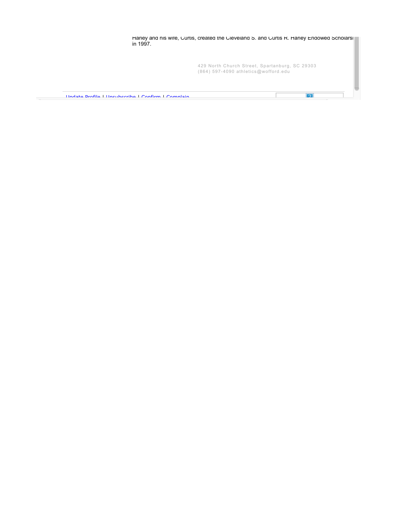| in 1997.                                            | Harley and his wife, Curtis, created the Cleveland S. and Curtis R. Harley Endowed Scholars |
|-----------------------------------------------------|---------------------------------------------------------------------------------------------|
|                                                     | 429 North Church Street, Spartanburg, SC 29303<br>$(864)$ 597-4090 athletics@wofford.edu    |
| Llndate Brefile Ll Incubecribe L Confirm L Complain |                                                                                             |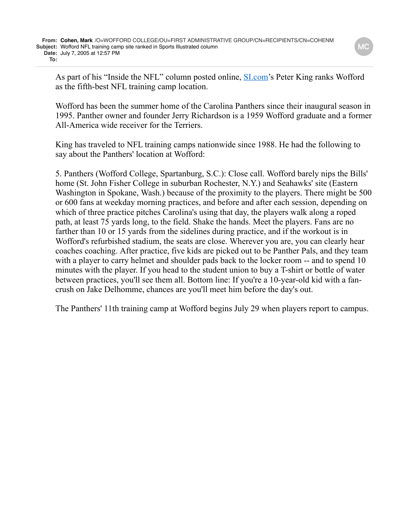As part of his "Inside the NFL" column posted online, **SL** com's Peter King ranks Wofford as the fifth-best NFL training camp location.

Wofford has been the summer home of the Carolina Panthers since their inaugural season in 1995. Panther owner and founder Jerry Richardson is a 1959 Wofford graduate and a former All-America wide receiver for the Terriers.

King has traveled to NFL training camps nationwide since 1988. He had the following to say about the Panthers' location at Wofford:

5. Panthers (Wofford College, Spartanburg, S.C.): Close call. Wofford barely nips the Bills' home (St. John Fisher College in suburban Rochester, N.Y.) and Seahawks' site (Eastern Washington in Spokane, Wash.) because of the proximity to the players. There might be 500 or 600 fans at weekday morning practices, and before and after each session, depending on which of three practice pitches Carolina's using that day, the players walk along a roped path, at least 75 yards long, to the field. Shake the hands. Meet the players. Fans are no farther than 10 or 15 yards from the sidelines during practice, and if the workout is in Wofford's refurbished stadium, the seats are close. Wherever you are, you can clearly hear coaches coaching. After practice, five kids are picked out to be Panther Pals, and they team with a player to carry helmet and shoulder pads back to the locker room -- and to spend 10 minutes with the player. If you head to the student union to buy a T-shirt or bottle of water between practices, you'll see them all. Bottom line: If you're a 10-year-old kid with a fancrush on Jake Delhomme, chances are you'll meet him before the day's out.

The Panthers' 11th training camp at Wofford begins July 29 when players report to campus.